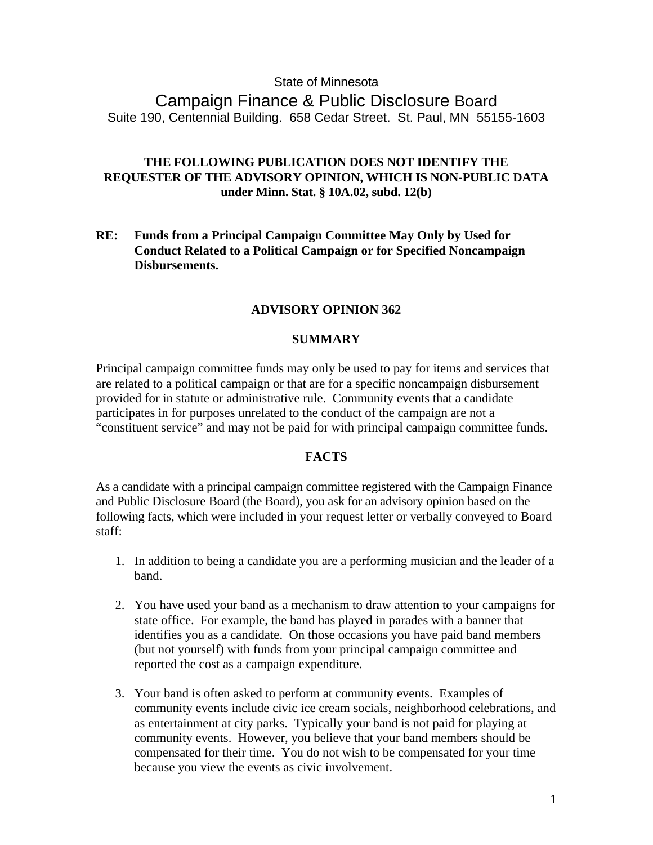## State of Minnesota

Campaign Finance & Public Disclosure Board Suite 190, Centennial Building. 658 Cedar Street. St. Paul, MN 55155-1603

# **THE FOLLOWING PUBLICATION DOES NOT IDENTIFY THE REQUESTER OF THE ADVISORY OPINION, WHICH IS NON-PUBLIC DATA under Minn. Stat. § 10A.02, subd. 12(b)**

**RE: Funds from a Principal Campaign Committee May Only by Used for Conduct Related to a Political Campaign or for Specified Noncampaign Disbursements.** 

### **ADVISORY OPINION 362**

#### **SUMMARY**

Principal campaign committee funds may only be used to pay for items and services that are related to a political campaign or that are for a specific noncampaign disbursement provided for in statute or administrative rule. Community events that a candidate participates in for purposes unrelated to the conduct of the campaign are not a "constituent service" and may not be paid for with principal campaign committee funds.

## **FACTS**

As a candidate with a principal campaign committee registered with the Campaign Finance and Public Disclosure Board (the Board), you ask for an advisory opinion based on the following facts, which were included in your request letter or verbally conveyed to Board staff:

- 1. In addition to being a candidate you are a performing musician and the leader of a band.
- 2. You have used your band as a mechanism to draw attention to your campaigns for state office. For example, the band has played in parades with a banner that identifies you as a candidate. On those occasions you have paid band members (but not yourself) with funds from your principal campaign committee and reported the cost as a campaign expenditure.
- 3. Your band is often asked to perform at community events. Examples of community events include civic ice cream socials, neighborhood celebrations, and as entertainment at city parks. Typically your band is not paid for playing at community events. However, you believe that your band members should be compensated for their time. You do not wish to be compensated for your time because you view the events as civic involvement.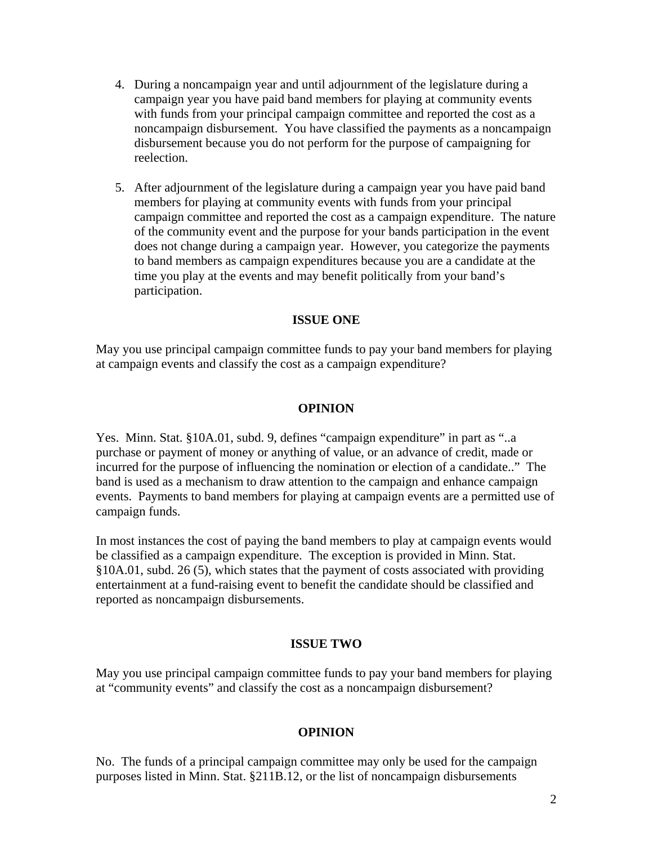- 4. During a noncampaign year and until adjournment of the legislature during a campaign year you have paid band members for playing at community events with funds from your principal campaign committee and reported the cost as a noncampaign disbursement. You have classified the payments as a noncampaign disbursement because you do not perform for the purpose of campaigning for reelection.
- 5. After adjournment of the legislature during a campaign year you have paid band members for playing at community events with funds from your principal campaign committee and reported the cost as a campaign expenditure. The nature of the community event and the purpose for your bands participation in the event does not change during a campaign year. However, you categorize the payments to band members as campaign expenditures because you are a candidate at the time you play at the events and may benefit politically from your band's participation.

### **ISSUE ONE**

May you use principal campaign committee funds to pay your band members for playing at campaign events and classify the cost as a campaign expenditure?

#### **OPINION**

Yes. Minn. Stat. §10A.01, subd. 9, defines "campaign expenditure" in part as "..a purchase or payment of money or anything of value, or an advance of credit, made or incurred for the purpose of influencing the nomination or election of a candidate.." The band is used as a mechanism to draw attention to the campaign and enhance campaign events. Payments to band members for playing at campaign events are a permitted use of campaign funds.

In most instances the cost of paying the band members to play at campaign events would be classified as a campaign expenditure. The exception is provided in Minn. Stat. §10A.01, subd. 26 (5), which states that the payment of costs associated with providing entertainment at a fund-raising event to benefit the candidate should be classified and reported as noncampaign disbursements.

#### **ISSUE TWO**

May you use principal campaign committee funds to pay your band members for playing at "community events" and classify the cost as a noncampaign disbursement?

#### **OPINION**

No. The funds of a principal campaign committee may only be used for the campaign purposes listed in Minn. Stat. §211B.12, or the list of noncampaign disbursements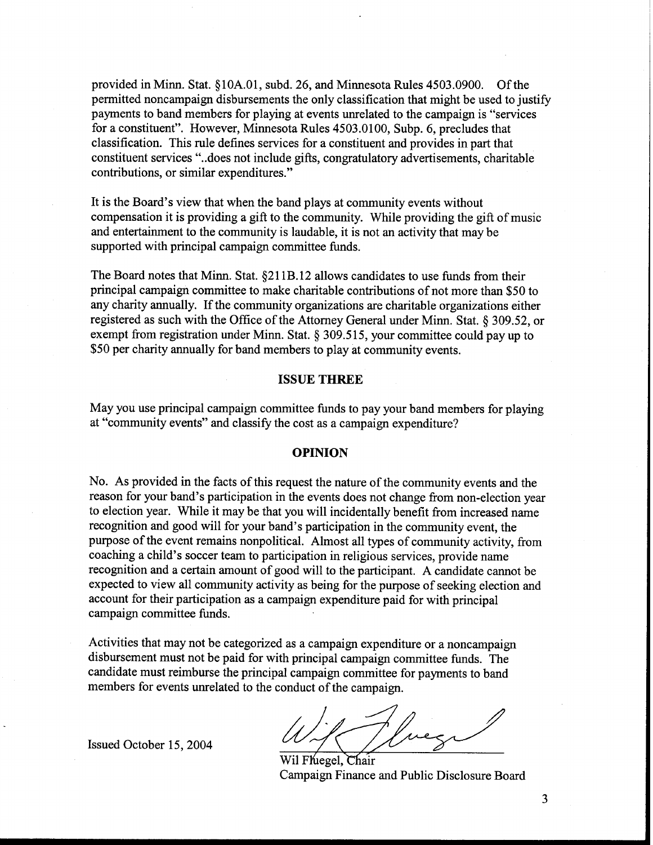provided in Minn. Stat. \$10A.01, subd. 26, and Minnesota Rules 4503.0900. Of the permitted noncampaign disbursements the only classification that might be used to justify payments to band members for playing at events unrelated to the campaign is "services for a constituent". However, Minnesota Rules 4503.0100, Subp. *6,* precludes that classification. This rule defines services for a constituent and provides in part that constituent services "..does not include gifts, congratulatory advertisements, charitable contributions, or similar expenditures."

It is the Board's view that when the band plays at community events without compensation it is providing a gift to the community. While providing the gift of music and entertainment to the community is laudable, it is not an activity that may be supported with principal campaign committee funds.

The Board notes that Minn. Stat. \$21 1B.12 allows candidates to use funds from their principal campaign committee to make charitable contributions of not more than \$50 to any charity annually. If the community organizations are charitable organizations either registered as such with the Office of the Attorney General under Minn. Stat. \$ 309.52, or exempt from registration under Minn. Stat. § 309.515, your committee could pay up to \$50 per charity annually for band members to play at community events.

#### **ISSUE THREE**

May you use principal campaign committee funds to pay your band members for playing at "community events" and classify the cost as a campaign expenditure?

#### **OPINION**

No. As provided in the facts of this request the nature of the community events and the reason for your band's participation in the events does not change from non-election year to election year. While it may be that you will incidentally benefit from increased name recognition and good will for your band's participation in the community event, the purpose of the event remains nonpolitical. Almost all types of community activity, from coaching a child's soccer team to participation in religious services, provide name recognition and a certain amount of good will to the participant. A candidate cannot be expected to view all community activity as being for the purpose of seeking election and account for their participation as a campaign expenditure paid for with principal campaign committee funds.

Activities that may not be categorized as a campaign expenditure or a noncampaign disbursement must not be paid for with principal campaign committee funds. The candidate must reimburse the principal campaign committee for payments to band members for events unrelated to the conduct of the campaign.

Issued October 15,2004

 $\overline{$ Wil Fheeel, Chair campaign Finance and Public Disclosure Board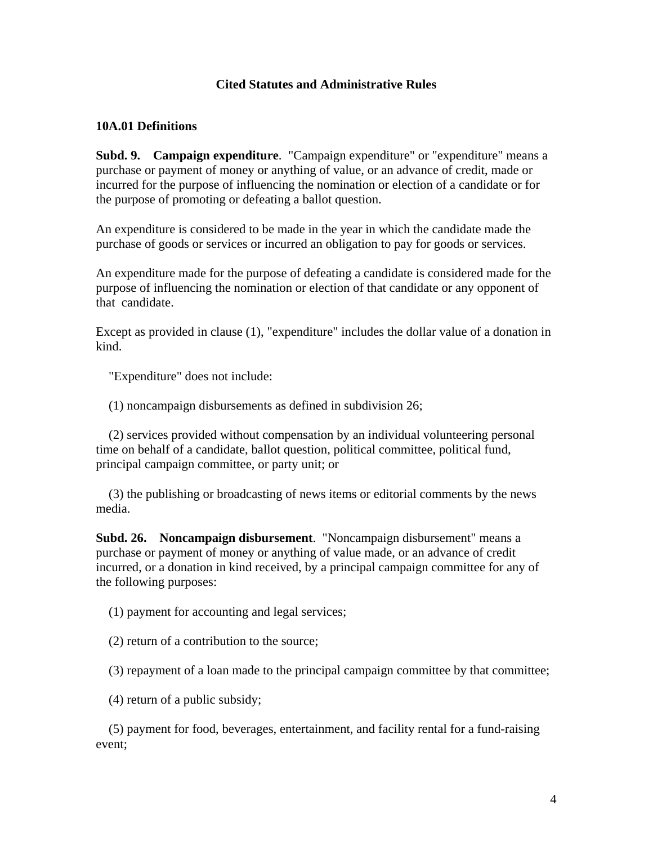## **Cited Statutes and Administrative Rules**

## **10A.01 Definitions**

**Subd. 9. Campaign expenditure.** "Campaign expenditure" or "expenditure" means a purchase or payment of money or anything of value, or an advance of credit, made or incurred for the purpose of influencing the nomination or election of a candidate or for the purpose of promoting or defeating a ballot question.

An expenditure is considered to be made in the year in which the candidate made the purchase of goods or services or incurred an obligation to pay for goods or services.

An expenditure made for the purpose of defeating a candidate is considered made for the purpose of influencing the nomination or election of that candidate or any opponent of that candidate.

Except as provided in clause (1), "expenditure" includes the dollar value of a donation in kind.

"Expenditure" does not include:

(1) noncampaign disbursements as defined in subdivision 26;

 (2) services provided without compensation by an individual volunteering personal time on behalf of a candidate, ballot question, political committee, political fund, principal campaign committee, or party unit; or

 (3) the publishing or broadcasting of news items or editorial comments by the news media.

**Subd. 26. Noncampaign disbursement**. "Noncampaign disbursement" means a purchase or payment of money or anything of value made, or an advance of credit incurred, or a donation in kind received, by a principal campaign committee for any of the following purposes:

(1) payment for accounting and legal services;

(2) return of a contribution to the source;

(3) repayment of a loan made to the principal campaign committee by that committee;

(4) return of a public subsidy;

 (5) payment for food, beverages, entertainment, and facility rental for a fund-raising event;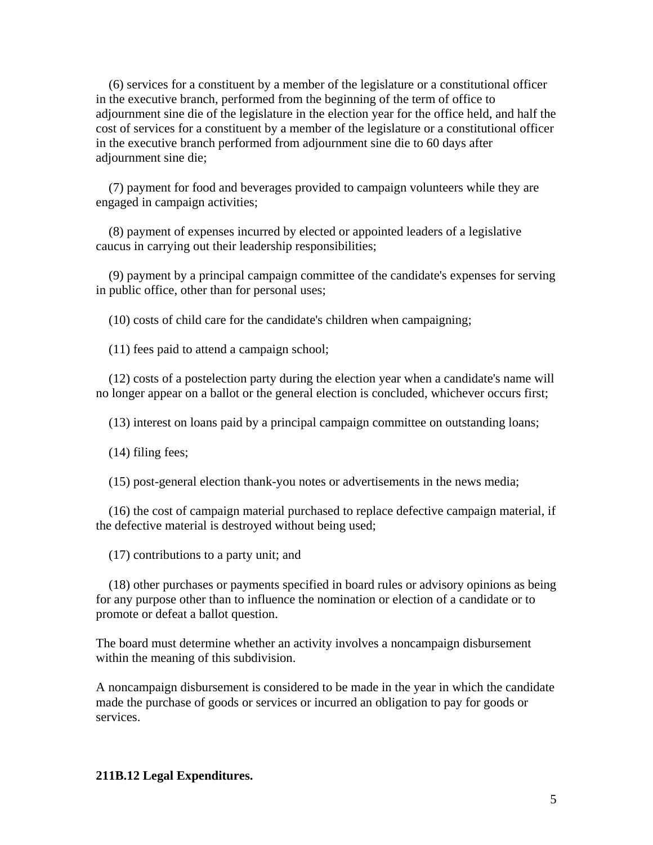(6) services for a constituent by a member of the legislature or a constitutional officer in the executive branch, performed from the beginning of the term of office to adjournment sine die of the legislature in the election year for the office held, and half the cost of services for a constituent by a member of the legislature or a constitutional officer in the executive branch performed from adjournment sine die to 60 days after adjournment sine die;

 (7) payment for food and beverages provided to campaign volunteers while they are engaged in campaign activities;

 (8) payment of expenses incurred by elected or appointed leaders of a legislative caucus in carrying out their leadership responsibilities;

 (9) payment by a principal campaign committee of the candidate's expenses for serving in public office, other than for personal uses;

(10) costs of child care for the candidate's children when campaigning;

(11) fees paid to attend a campaign school;

 (12) costs of a postelection party during the election year when a candidate's name will no longer appear on a ballot or the general election is concluded, whichever occurs first;

(13) interest on loans paid by a principal campaign committee on outstanding loans;

(14) filing fees;

(15) post-general election thank-you notes or advertisements in the news media;

 (16) the cost of campaign material purchased to replace defective campaign material, if the defective material is destroyed without being used;

(17) contributions to a party unit; and

 (18) other purchases or payments specified in board rules or advisory opinions as being for any purpose other than to influence the nomination or election of a candidate or to promote or defeat a ballot question.

The board must determine whether an activity involves a noncampaign disbursement within the meaning of this subdivision.

A noncampaign disbursement is considered to be made in the year in which the candidate made the purchase of goods or services or incurred an obligation to pay for goods or services.

#### **211B.12 Legal Expenditures.**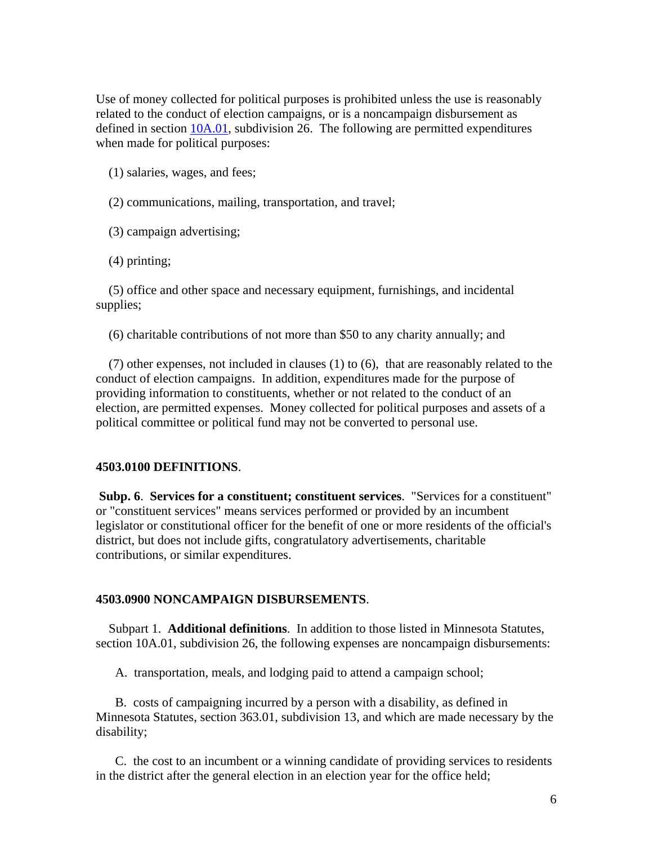Use of money collected for political purposes is prohibited unless the use is reasonably related to the conduct of election campaigns, or is a noncampaign disbursement as defined in section  $10A.01$ , subdivision 26. The following are permitted expenditures when made for political purposes:

(1) salaries, wages, and fees;

- (2) communications, mailing, transportation, and travel;
- (3) campaign advertising;
- (4) printing;

 (5) office and other space and necessary equipment, furnishings, and incidental supplies;

(6) charitable contributions of not more than \$50 to any charity annually; and

 (7) other expenses, not included in clauses (1) to (6), that are reasonably related to the conduct of election campaigns. In addition, expenditures made for the purpose of providing information to constituents, whether or not related to the conduct of an election, are permitted expenses. Money collected for political purposes and assets of a political committee or political fund may not be converted to personal use.

#### **4503.0100 DEFINITIONS**.

**Subp. 6**. **Services for a constituent; constituent services**. "Services for a constituent" or "constituent services" means services performed or provided by an incumbent legislator or constitutional officer for the benefit of one or more residents of the official's district, but does not include gifts, congratulatory advertisements, charitable contributions, or similar expenditures.

### **4503.0900 NONCAMPAIGN DISBURSEMENTS**.

 Subpart 1. **Additional definitions**. In addition to those listed in Minnesota Statutes, section 10A.01, subdivision 26, the following expenses are noncampaign disbursements:

A. transportation, meals, and lodging paid to attend a campaign school;

 B. costs of campaigning incurred by a person with a disability, as defined in Minnesota Statutes, section 363.01, subdivision 13, and which are made necessary by the disability;

 C. the cost to an incumbent or a winning candidate of providing services to residents in the district after the general election in an election year for the office held;